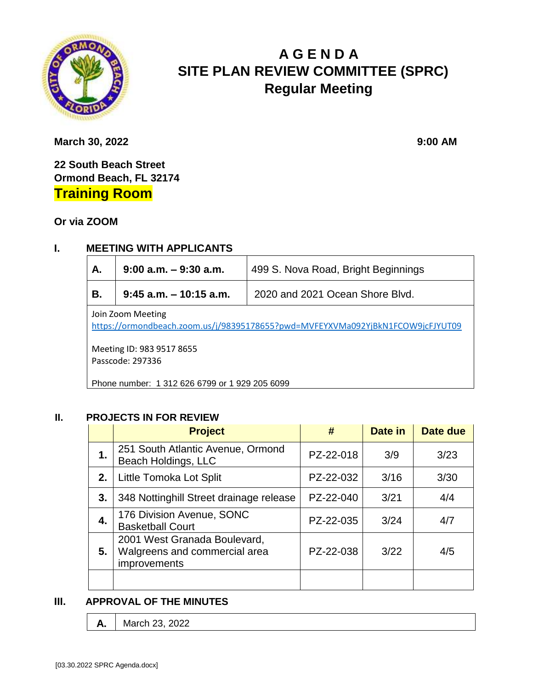

# **A G E N D A SITE PLAN REVIEW COMMITTEE (SPRC) Regular Meeting**

**March 30, 2022** 9:00 **AM** 

**22 South Beach Street Ormond Beach, FL 32174 Training Room**

**Or via ZOOM**

# **I. MEETING WITH APPLICANTS**

| Α.                                                                                                  | $9:00$ a.m. $-9:30$ a.m.  | 499 S. Nova Road, Bright Beginnings |  |  |  |
|-----------------------------------------------------------------------------------------------------|---------------------------|-------------------------------------|--|--|--|
| В.                                                                                                  | $9:45$ a.m. $-10:15$ a.m. | 2020 and 2021 Ocean Shore Blvd.     |  |  |  |
| Join Zoom Meeting<br>https://ormondbeach.zoom.us/j/98395178655?pwd=MVFEYXVMa092YjBkN1FCOW9jcFJYUT09 |                           |                                     |  |  |  |
| Meeting ID: 983 9517 8655<br>Passcode: 297336                                                       |                           |                                     |  |  |  |

Phone number: 1 312 626 6799 or 1 929 205 6099

## **II. PROJECTS IN FOR REVIEW**

|    | <b>Project</b>                                                                | #         | Date in | Date due |
|----|-------------------------------------------------------------------------------|-----------|---------|----------|
| 1. | 251 South Atlantic Avenue, Ormond<br>Beach Holdings, LLC                      | PZ-22-018 | 3/9     | 3/23     |
| 2. | Little Tomoka Lot Split                                                       | PZ-22-032 | 3/16    | 3/30     |
| 3. | 348 Nottinghill Street drainage release                                       | PZ-22-040 | 3/21    | 4/4      |
| 4. | 176 Division Avenue, SONC<br><b>Basketball Court</b>                          | PZ-22-035 | 3/24    | 4/7      |
| 5. | 2001 West Granada Boulevard,<br>Walgreens and commercial area<br>improvements | PZ-22-038 | 3/22    | 4/5      |
|    |                                                                               |           |         |          |

#### **III. APPROVAL OF THE MINUTES**

**A.** March 23, 2022